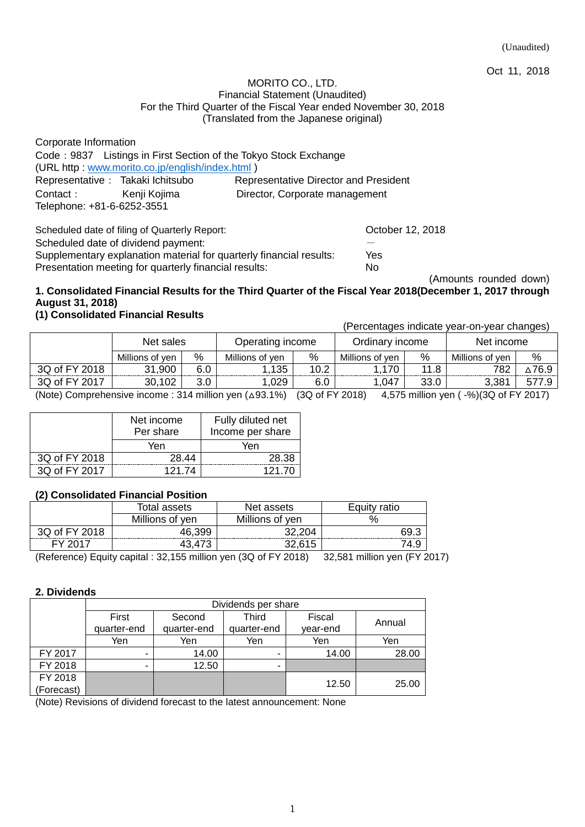Oct 11, 2018

#### MORITO CO., LTD. Financial Statement (Unaudited) For the Third Quarter of the Fiscal Year ended November 30, 2018 (Translated from the Japanese original)

| Corporate Information                                            |                                              |
|------------------------------------------------------------------|----------------------------------------------|
| Code: 9837 Listings in First Section of the Tokyo Stock Exchange |                                              |
| (URL http: www.morito.co.jp/english/index.html)                  |                                              |
| Representative : Takaki Ichitsubo                                | <b>Representative Director and President</b> |
| Contact:<br>Kenji Kojima                                         | Director, Corporate management               |
| Telephone: +81-6-6252-3551                                       |                                              |

Scheduled date of filing of Quarterly Report: Changes Corporation Corporation Corporation Corporation Corporation Corporation Corporation Corporation Corporation Corporation Corporation Corporation Corporation Corporation Scheduled date of dividend payment: Supplementary explanation material for quarterly financial results: Yes Presentation meeting for quarterly financial results: No

(Amounts rounded down)

## **1. Consolidated Financial Results for the Third Quarter of the Fiscal Year 2018(December 1, 2017 through August 31, 2018)**

## **(1) Consolidated Financial Results**

(Percentages indicate year-on-year changes)

|               | Net sales       |            | Operating income |               | Ordinary income |      | Net income      |      |
|---------------|-----------------|------------|------------------|---------------|-----------------|------|-----------------|------|
|               | Millions of ven | %          | Millions of ven  | %             | Millions of ven | %    | Millions of ven | %    |
| 3Q of FY 2018 | .900            | 6.0        | .135             | 10.2          | 170             | 11.8 | 782             | 76.9 |
| 3Q of FY 2017 | 102<br>30.      |            | 029              | 6.0           | ,047            | 33.0 | 3,381           | 57   |
| $\cdots$      |                 | .<br>- - - | -------          | $\sim$ $\sim$ | .<br>____       |      |                 |      |

(Note) Comprehensive income : 314 million yen (△93.1%) (3Q of FY 2018) 4,575 million yen ( -%)(3Q of FY 2017)

|               | Net income<br>Per share | Fully diluted net<br>Income per share |
|---------------|-------------------------|---------------------------------------|
|               | Yen                     | Yen                                   |
| 3Q of FY 2018 | 28.44                   | 28.38                                 |
| 3Q of FY 2017 | 121 74                  | 121.70                                |

### **(2) Consolidated Financial Position**

|               | Total assets    | Net assets      | ratio<br>Eauitv |
|---------------|-----------------|-----------------|-----------------|
|               | Millions of yen | Millions of yen |                 |
| 3Q of FY 2018 | 46,399          | 32.204          | S9.             |
| EV 2017       |                 | 32,615          | '4.9            |

(Reference) Equity capital : 32,155 million yen (3Q of FY 2018) 32,581 million yen (FY 2017)

### **2. Dividends**

|            | Dividends per share |             |             |          |        |  |  |
|------------|---------------------|-------------|-------------|----------|--------|--|--|
|            | First               | Second      | Third       | Fiscal   |        |  |  |
|            | quarter-end         | quarter-end | quarter-end | year-end | Annual |  |  |
|            | Yen                 | Yen         | Yen         | Yen      | Yen    |  |  |
| FY 2017    | -                   | 14.00       | -           | 14.00    | 28.00  |  |  |
| FY 2018    | ۰                   | 12.50       | -           |          |        |  |  |
| FY 2018    |                     |             |             | 12.50    | 25.00  |  |  |
| (Forecast) |                     |             |             |          |        |  |  |

(Note) Revisions of dividend forecast to the latest announcement: None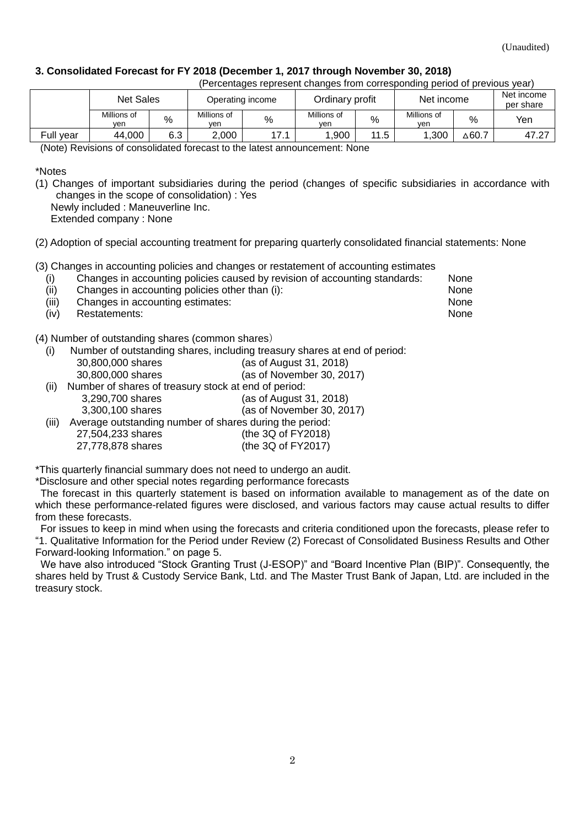### **3. Consolidated Forecast for FY 2018 (December 1, 2017 through November 30, 2018)**

|           | (Percentages represent changes from corresponding period of previous year) |      |                    |      |                    |      |                    |                  |       |
|-----------|----------------------------------------------------------------------------|------|--------------------|------|--------------------|------|--------------------|------------------|-------|
|           | <b>Net Sales</b><br>Operating income                                       |      |                    |      | Ordinary profit    |      | Net income         |                  |       |
|           | Millions of<br>ven                                                         | $\%$ | Millions of<br>ven | %    | Millions of<br>ven | %    | Millions of<br>ven | $\%$             | Yen   |
| Full year | 44,000                                                                     | 6.3  | 2.000              | 17.1 | .900               | 11.5 | 1.300              | $\triangle$ 60.7 | 47.27 |

(Note) Revisions of consolidated forecast to the latest announcement: None

\*Notes

(1) Changes of important subsidiaries during the period (changes of specific subsidiaries in accordance with changes in the scope of consolidation) : Yes

Newly included : Maneuverline Inc.

Extended company : None

(2) Adoption of special accounting treatment for preparing quarterly consolidated financial statements: None

(3) Changes in accounting policies and changes or restatement of accounting estimates

| (i)  | Changes in accounting policies caused by revision of accounting standards: | None |
|------|----------------------------------------------------------------------------|------|
| (ii) | Changes in accounting policies other than (i):                             | None |

- (iii) Changes in accounting estimates: None
- (iv) Restatements: None

(4) Number of outstanding shares (common shares)

(i) Number of outstanding shares, including treasury shares at end of period:

| 30,800,000 shares |  | (as of August 31, 2018)         |  |
|-------------------|--|---------------------------------|--|
| 20.000.000 shares |  | $(0.0000)$ of November 20, 2013 |  |

- 30,800,000 shares (as of November 30, 2017)
- (ii) Number of shares of treasury stock at end of period: 3,290,700 shares (as of August 31, 2018)

3,300,100 shares (as of November 30, 2017)

(iii) Average outstanding number of shares during the period: 27,504,233 shares (the 3Q of FY2018) 27,778,878 shares (the 3Q of FY2017)

\*This quarterly financial summary does not need to undergo an audit.

\*Disclosure and other special notes regarding performance forecasts

The forecast in this quarterly statement is based on information available to management as of the date on which these performance-related figures were disclosed, and various factors may cause actual results to differ from these forecasts.

For issues to keep in mind when using the forecasts and criteria conditioned upon the forecasts, please refer to "1. Qualitative Information for the Period under Review (2) Forecast of Consolidated Business Results and Other Forward-looking Information." on page 5.

We have also introduced "Stock Granting Trust (J-ESOP)" and "Board Incentive Plan (BIP)". Consequently, the shares held by Trust & Custody Service Bank, Ltd. and The Master Trust Bank of Japan, Ltd. are included in the treasury stock.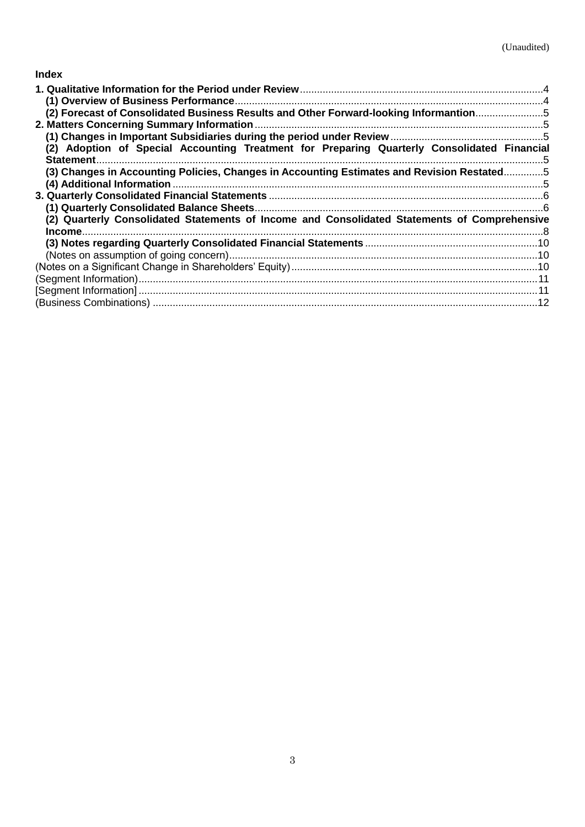## **Index**

| (2) Forecast of Consolidated Business Results and Other Forward-looking Informantion5        |  |
|----------------------------------------------------------------------------------------------|--|
|                                                                                              |  |
|                                                                                              |  |
| (2) Adoption of Special Accounting Treatment for Preparing Quarterly Consolidated Financial  |  |
| (3) Changes in Accounting Policies, Changes in Accounting Estimates and Revision Restated5   |  |
|                                                                                              |  |
|                                                                                              |  |
|                                                                                              |  |
| (2) Quarterly Consolidated Statements of Income and Consolidated Statements of Comprehensive |  |
| Income.                                                                                      |  |
|                                                                                              |  |
|                                                                                              |  |
|                                                                                              |  |
|                                                                                              |  |
|                                                                                              |  |
|                                                                                              |  |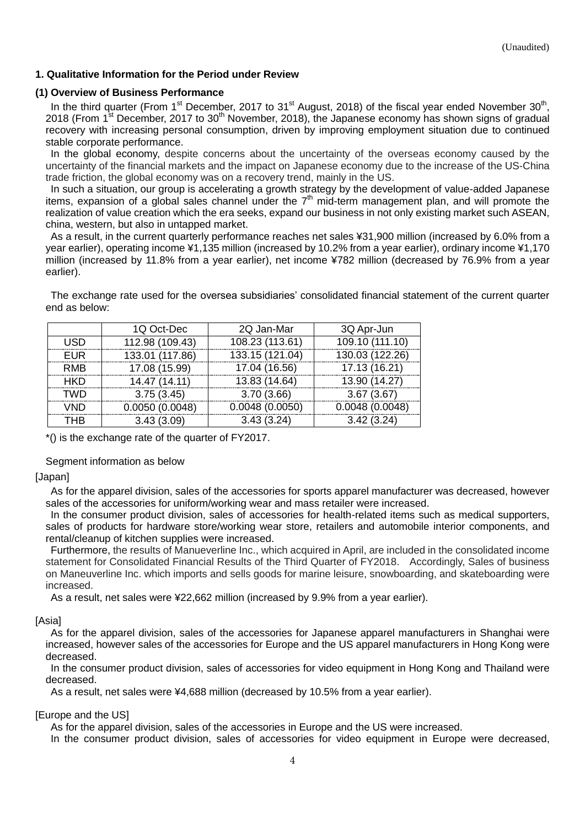### <span id="page-3-0"></span>**1. Qualitative Information for the Period under Review**

#### <span id="page-3-1"></span>**(1) Overview of Business Performance**

In the third quarter (From 1<sup>st</sup> December, 2017 to 31<sup>st</sup> August, 2018) of the fiscal year ended November 30<sup>th</sup>, 2018 (From 1<sup>st</sup> December, 2017 to 30<sup>th</sup> November, 2018), the Japanese economy has shown signs of gradual recovery with increasing personal consumption, driven by improving employment situation due to continued stable corporate performance.

In the global economy, despite concerns about the uncertainty of the overseas economy caused by the uncertainty of the financial markets and the impact on Japanese economy due to the increase of the US-China trade friction, the global economy was on a recovery trend, mainly in the US.

In such a situation, our group is accelerating a growth strategy by the development of value-added Japanese items, expansion of a global sales channel under the  $7<sup>th</sup>$  mid-term management plan, and will promote the realization of value creation which the era seeks, expand our business in not only existing market such ASEAN, china, western, but also in untapped market.

As a result, in the current quarterly performance reaches net sales ¥31,900 million (increased by 6.0% from a year earlier), operating income ¥1,135 million (increased by 10.2% from a year earlier), ordinary income ¥1,170 million (increased by 11.8% from a year earlier), net income ¥782 million (decreased by 76.9% from a year earlier).

The exchange rate used for the oversea subsidiaries' consolidated financial statement of the current quarter end as below:

|            | 1Q Oct-Dec      | 2Q Jan-Mar      | 3Q Apr-Jun      |
|------------|-----------------|-----------------|-----------------|
| <b>USD</b> | 112.98 (109.43) | 108.23 (113.61) | 109.10 (111.10) |
| <b>EUR</b> | 133.01 (117.86) | 133.15 (121.04) | 130.03 (122.26) |
| <b>RMB</b> | 17.08 (15.99)   | 17.04 (16.56)   | 17.13 (16.21)   |
| <b>HKD</b> | 14.47 (14.11)   | 13.83 (14.64)   | 13.90 (14.27)   |
| <b>TWD</b> | 3.75(3.45)      | 3.70(3.66)      | 3.67(3.67)      |
| <b>VND</b> | 0.0050(0.0048)  | 0.0048(0.0050)  | 0.0048(0.0048)  |
| <b>THB</b> | 3.43(3.09)      | 3.43(3.24)      | 3.42(3.24)      |

\*() is the exchange rate of the quarter of FY2017.

Segment information as below

[Japan]

As for the apparel division, sales of the accessories for sports apparel manufacturer was decreased, however sales of the accessories for uniform/working wear and mass retailer were increased.

In the consumer product division, sales of accessories for health-related items such as medical supporters, sales of products for hardware store/working wear store, retailers and automobile interior components, and rental/cleanup of kitchen supplies were increased.

Furthermore, the results of Manueverline Inc., which acquired in April, are included in the consolidated income statement for Consolidated Financial Results of the Third Quarter of FY2018. Accordingly, Sales of business on Maneuverline Inc. which imports and sells goods for marine leisure, snowboarding, and skateboarding were increased.

As a result, net sales were ¥22,662 million (increased by 9.9% from a year earlier).

[Asia]

As for the apparel division, sales of the accessories for Japanese apparel manufacturers in Shanghai were increased, however sales of the accessories for Europe and the US apparel manufacturers in Hong Kong were decreased.

In the consumer product division, sales of accessories for video equipment in Hong Kong and Thailand were decreased.

As a result, net sales were ¥4,688 million (decreased by 10.5% from a year earlier).

#### [Europe and the US]

As for the apparel division, sales of the accessories in Europe and the US were increased.

In the consumer product division, sales of accessories for video equipment in Europe were decreased,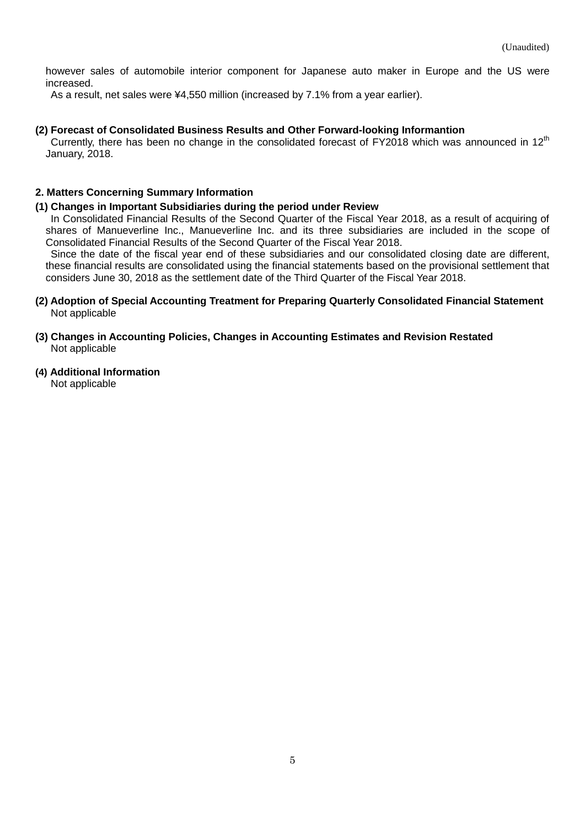however sales of automobile interior component for Japanese auto maker in Europe and the US were increased.

As a result, net sales were ¥4,550 million (increased by 7.1% from a year earlier).

#### <span id="page-4-0"></span>**(2) Forecast of Consolidated Business Results and Other Forward-looking Informantion**

Currently, there has been no change in the consolidated forecast of FY2018 which was announced in 12<sup>th</sup> January, 2018.

#### <span id="page-4-1"></span>**2. Matters Concerning Summary Information**

#### <span id="page-4-2"></span>**(1) Changes in Important Subsidiaries during the period under Review**

In Consolidated Financial Results of the Second Quarter of the Fiscal Year 2018, as a result of acquiring of shares of Manueverline Inc., Manueverline Inc. and its three subsidiaries are included in the scope of Consolidated Financial Results of the Second Quarter of the Fiscal Year 2018.

Since the date of the fiscal year end of these subsidiaries and our consolidated closing date are different, these financial results are consolidated using the financial statements based on the provisional settlement that considers June 30, 2018 as the settlement date of the Third Quarter of the Fiscal Year 2018.

#### <span id="page-4-3"></span>**(2) Adoption of Special Accounting Treatment for Preparing Quarterly Consolidated Financial Statement** Not applicable

- <span id="page-4-4"></span>**(3) Changes in Accounting Policies, Changes in Accounting Estimates and Revision Restated** Not applicable
- <span id="page-4-5"></span>**(4) Additional Information**

Not applicable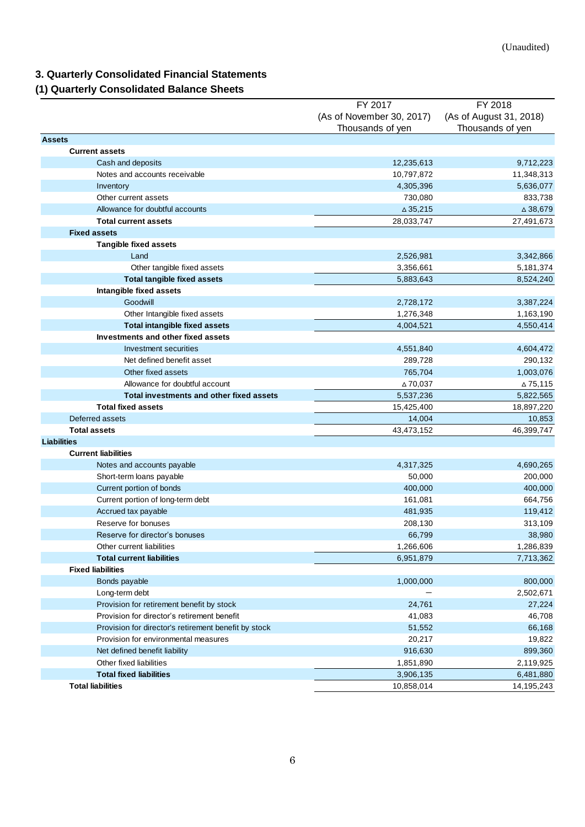# <span id="page-5-0"></span>**3. Quarterly Consolidated Financial Statements**

# <span id="page-5-1"></span>**(1) Quarterly Consolidated Balance Sheets**

|                                                      | FY 2017                   | FY 2018                 |
|------------------------------------------------------|---------------------------|-------------------------|
|                                                      | (As of November 30, 2017) | (As of August 31, 2018) |
|                                                      | Thousands of yen          | Thousands of yen        |
| <b>Assets</b>                                        |                           |                         |
| <b>Current assets</b>                                |                           |                         |
| Cash and deposits                                    | 12,235,613                | 9,712,223               |
| Notes and accounts receivable                        | 10,797,872                | 11,348,313              |
| Inventory                                            | 4,305,396                 | 5,636,077               |
| Other current assets                                 | 730,080                   | 833,738                 |
| Allowance for doubtful accounts                      | $\triangle 35,215$        | $\triangle$ 38,679      |
| <b>Total current assets</b>                          | 28,033,747                | 27,491,673              |
| <b>Fixed assets</b>                                  |                           |                         |
| <b>Tangible fixed assets</b>                         |                           |                         |
| Land                                                 | 2,526,981                 | 3,342,866               |
| Other tangible fixed assets                          | 3,356,661                 | 5,181,374               |
| <b>Total tangible fixed assets</b>                   | 5,883,643                 | 8,524,240               |
| Intangible fixed assets                              |                           |                         |
| Goodwill                                             | 2,728,172                 | 3,387,224               |
| Other Intangible fixed assets                        | 1,276,348                 | 1,163,190               |
| <b>Total intangible fixed assets</b>                 | 4,004,521                 | 4,550,414               |
| Investments and other fixed assets                   |                           |                         |
| Investment securities                                | 4,551,840                 | 4,604,472               |
| Net defined benefit asset                            | 289,728                   | 290,132                 |
| Other fixed assets                                   | 765,704                   | 1,003,076               |
| Allowance for doubtful account                       | ∆70,037                   | ∆75,115                 |
| Total investments and other fixed assets             | 5,537,236                 | 5,822,565               |
| <b>Total fixed assets</b>                            | 15,425,400                | 18,897,220              |
| Deferred assets                                      | 14,004                    | 10,853                  |
| <b>Total assets</b>                                  | 43,473,152                | 46,399,747              |
| <b>Liabilities</b>                                   |                           |                         |
| <b>Current liabilities</b>                           |                           |                         |
| Notes and accounts payable                           | 4,317,325                 | 4,690,265               |
| Short-term loans payable                             | 50,000                    | 200,000                 |
| Current portion of bonds                             | 400,000                   | 400,000                 |
| Current portion of long-term debt                    | 161,081                   | 664,756                 |
| Accrued tax payable                                  | 481,935                   | 119,412                 |
| Reserve for bonuses                                  | 208,130                   | 313,109                 |
| Reserve for director's bonuses                       | 66,799                    | 38,980                  |
| Other current liabilities                            | 1,266,606                 | 1,286,839               |
| <b>Total current liabilities</b>                     | 6,951,879                 | 7,713,362               |
| <b>Fixed liabilities</b>                             |                           |                         |
| Bonds payable                                        | 1,000,000                 | 800,000                 |
| Long-term debt                                       |                           | 2,502,671               |
| Provision for retirement benefit by stock            | 24,761                    | 27,224                  |
| Provision for director's retirement benefit          | 41,083                    | 46,708                  |
| Provision for director's retirement benefit by stock | 51,552                    | 66,168                  |
| Provision for environmental measures                 | 20,217                    | 19,822                  |
| Net defined benefit liability                        | 916,630                   | 899,360                 |
| Other fixed liabilities                              | 1,851,890                 | 2,119,925               |
| <b>Total fixed liabilities</b>                       | 3,906,135                 | 6,481,880               |
| <b>Total liabilities</b>                             | 10,858,014                | 14,195,243              |
|                                                      |                           |                         |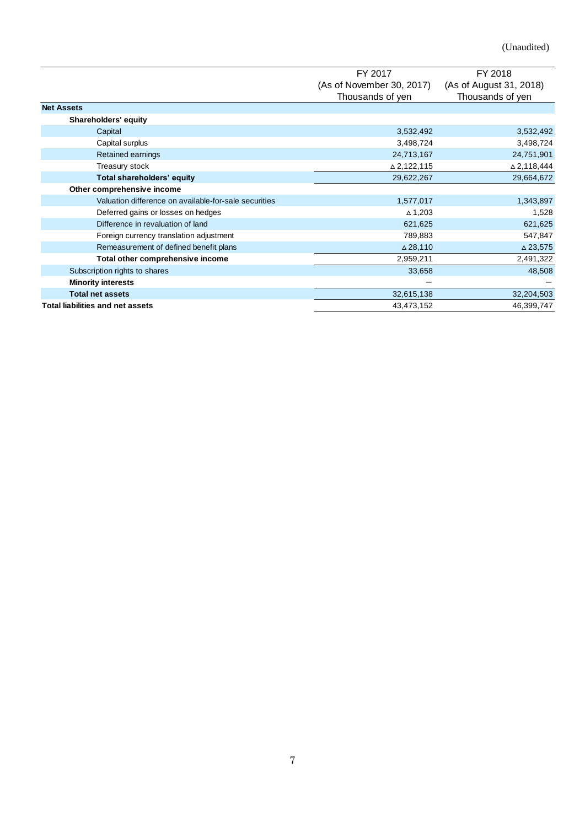(Unaudited)

|                                                       | FY 2017                   | FY 2018                 |
|-------------------------------------------------------|---------------------------|-------------------------|
|                                                       | (As of November 30, 2017) | (As of August 31, 2018) |
|                                                       | Thousands of yen          | Thousands of yen        |
| <b>Net Assets</b>                                     |                           |                         |
| Shareholders' equity                                  |                           |                         |
| Capital                                               | 3,532,492                 | 3,532,492               |
| Capital surplus                                       | 3,498,724                 | 3,498,724               |
| Retained earnings                                     | 24,713,167                | 24,751,901              |
| Treasury stock                                        | $\triangle$ 2,122,115     | $\triangle$ 2,118,444   |
| Total shareholders' equity                            | 29,622,267                | 29,664,672              |
| Other comprehensive income                            |                           |                         |
| Valuation difference on available-for-sale securities | 1,577,017                 | 1,343,897               |
| Deferred gains or losses on hedges                    | $\triangle$ 1,203         | 1,528                   |
| Difference in revaluation of land                     | 621,625                   | 621,625                 |
| Foreign currency translation adjustment               | 789,883                   | 547,847                 |
| Remeasurement of defined benefit plans                | $\triangle$ 28,110        | $\triangle$ 23,575      |
| Total other comprehensive income                      | 2,959,211                 | 2,491,322               |
| Subscription rights to shares                         | 33,658                    | 48,508                  |
| <b>Minority interests</b>                             | -                         |                         |
| <b>Total net assets</b>                               | 32,615,138                | 32,204,503              |
| <b>Total liabilities and net assets</b>               | 43,473,152                | 46,399,747              |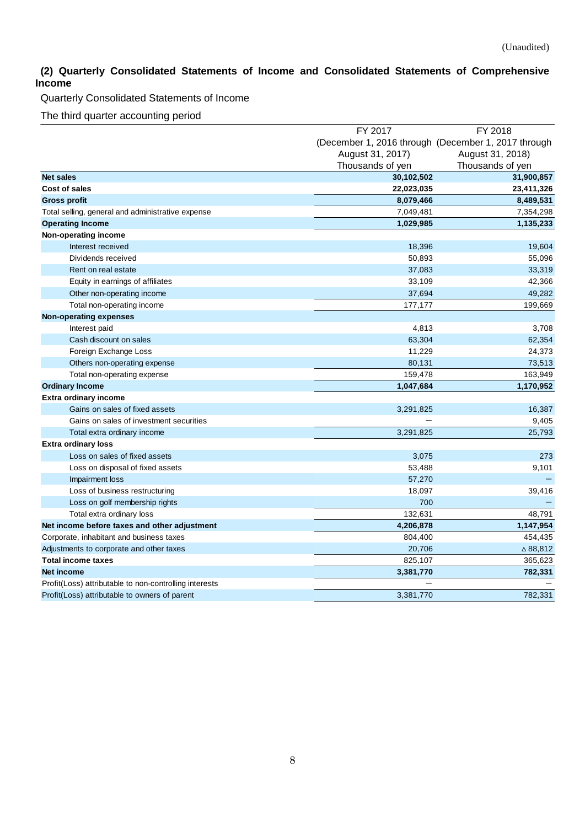## <span id="page-7-0"></span>**(2) Quarterly Consolidated Statements of Income and Consolidated Statements of Comprehensive Income**

Quarterly Consolidated Statements of Income

The third quarter accounting period

|                                                        | FY 2017                                             | FY 2018          |
|--------------------------------------------------------|-----------------------------------------------------|------------------|
|                                                        | (December 1, 2016 through (December 1, 2017 through |                  |
|                                                        | August 31, 2017)                                    | August 31, 2018) |
|                                                        | Thousands of yen                                    | Thousands of yen |
| <b>Net sales</b>                                       | 30,102,502                                          | 31,900,857       |
| Cost of sales                                          | 22,023,035                                          | 23,411,326       |
| <b>Gross profit</b>                                    | 8,079,466                                           | 8,489,531        |
| Total selling, general and administrative expense      | 7,049,481                                           | 7,354,298        |
| <b>Operating Income</b>                                | 1,029,985                                           | 1,135,233        |
| Non-operating income                                   |                                                     |                  |
| Interest received                                      | 18,396                                              | 19,604           |
| Dividends received                                     | 50,893                                              | 55,096           |
| Rent on real estate                                    | 37,083                                              | 33,319           |
| Equity in earnings of affiliates                       | 33,109                                              | 42,366           |
| Other non-operating income                             | 37,694                                              | 49,282           |
| Total non-operating income                             | 177,177                                             | 199,669          |
| <b>Non-operating expenses</b>                          |                                                     |                  |
| Interest paid                                          | 4,813                                               | 3,708            |
| Cash discount on sales                                 | 63,304                                              | 62,354           |
| Foreign Exchange Loss                                  | 11,229                                              | 24,373           |
| Others non-operating expense                           | 80,131                                              | 73,513           |
| Total non-operating expense                            | 159,478                                             | 163,949          |
| <b>Ordinary Income</b>                                 | 1,047,684                                           | 1,170,952        |
| Extra ordinary income                                  |                                                     |                  |
| Gains on sales of fixed assets                         | 3,291,825                                           | 16,387           |
| Gains on sales of investment securities                |                                                     | 9,405            |
| Total extra ordinary income                            | 3,291,825                                           | 25,793           |
| <b>Extra ordinary loss</b>                             |                                                     |                  |
| Loss on sales of fixed assets                          | 3,075                                               | 273              |
| Loss on disposal of fixed assets                       | 53,488                                              | 9,101            |
| Impairment loss                                        | 57,270                                              |                  |
| Loss of business restructuring                         | 18,097                                              | 39,416           |
| Loss on golf membership rights                         | 700                                                 |                  |
| Total extra ordinary loss                              | 132,631                                             | 48,791           |
| Net income before taxes and other adjustment           | 4,206,878                                           | 1,147,954        |
| Corporate, inhabitant and business taxes               | 804,400                                             | 454,435          |
| Adjustments to corporate and other taxes               | 20,706                                              | △88,812          |
| <b>Total income taxes</b>                              | 825,107                                             | 365,623          |
| <b>Net income</b>                                      | 3,381,770                                           | 782,331          |
| Profit(Loss) attributable to non-controlling interests |                                                     |                  |
| Profit(Loss) attributable to owners of parent          | 3,381,770                                           | 782,331          |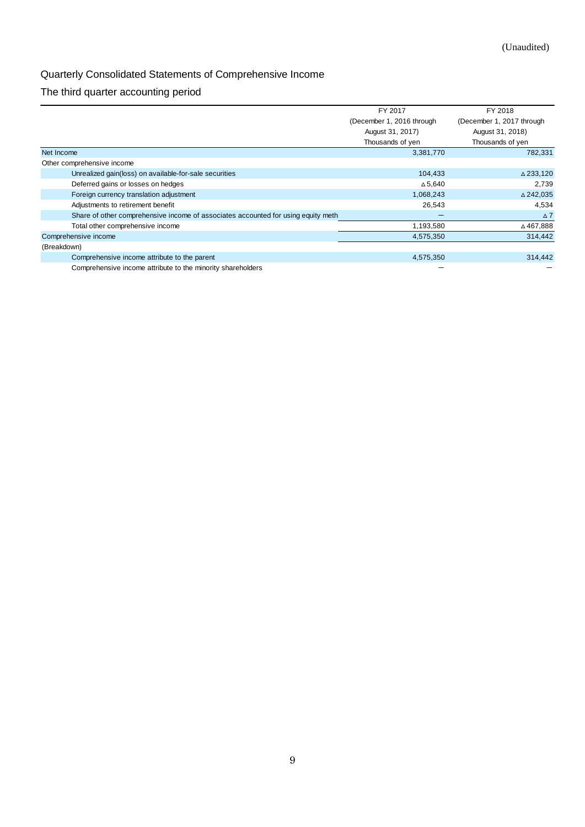# Quarterly Consolidated Statements of Comprehensive Income

## The third quarter accounting period

|                                                                                   | FY 2017                   | FY 2018                   |
|-----------------------------------------------------------------------------------|---------------------------|---------------------------|
|                                                                                   | (December 1, 2016 through | (December 1, 2017 through |
|                                                                                   | August 31, 2017)          | August 31, 2018)          |
|                                                                                   | Thousands of yen          | Thousands of yen          |
| Net Income                                                                        | 3,381,770                 | 782,331                   |
| Other comprehensive income                                                        |                           |                           |
| Unrealized gain(loss) on available-for-sale securities                            | 104,433                   | $\triangle$ 233,120       |
| Deferred gains or losses on hedges                                                | $\triangle$ 5,640         | 2,739                     |
| Foreign currency translation adjustment                                           | 1,068,243                 | $\triangle$ 242,035       |
| Adjustments to retirement benefit                                                 | 26,543                    | 4,534                     |
| Share of other comprehensive income of associates accounted for using equity meth |                           | $\Delta$ 7                |
| Total other comprehensive income                                                  | 1,193,580                 | ∆467,888                  |
| Comprehensive income                                                              | 4,575,350                 | 314.442                   |
| (Breakdown)                                                                       |                           |                           |
| Comprehensive income attribute to the parent                                      | 4,575,350                 | 314,442                   |
| Comprehensive income attribute to the minority shareholders                       |                           |                           |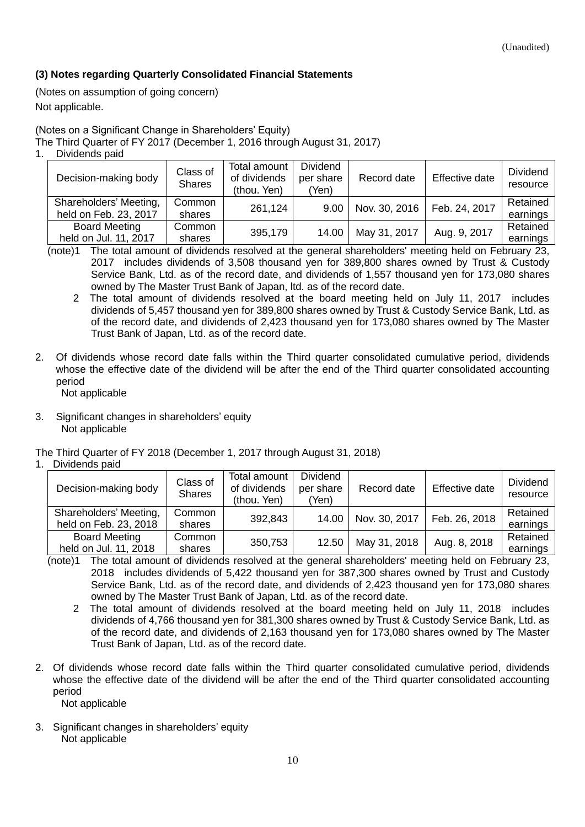## <span id="page-9-0"></span>**(3) Notes regarding Quarterly Consolidated Financial Statements**

<span id="page-9-1"></span>(Notes on assumption of going concern) Not applicable.

<span id="page-9-2"></span>(Notes on a Significant Change in Shareholders' Equity)

The Third Quarter of FY 2017 (December 1, 2016 through August 31, 2017)

| Dividends paid                                  |                           |                                             |                                       |               |                |                             |
|-------------------------------------------------|---------------------------|---------------------------------------------|---------------------------------------|---------------|----------------|-----------------------------|
| Decision-making body                            | Class of<br><b>Shares</b> | Total amount<br>of dividends<br>(thou. Yen) | <b>Dividend</b><br>per share<br>(Yen) | Record date   | Effective date | <b>Dividend</b><br>resource |
| Shareholders' Meeting,<br>held on Feb. 23, 2017 | Common<br>shares          | 261,124                                     | 9.00                                  | Nov. 30, 2016 | Feb. 24, 2017  | Retained<br>earnings        |
| <b>Board Meeting</b><br>held on Jul. 11, 2017   | Common<br>shares          | 395,179                                     | 14.00                                 | May 31, 2017  | Aug. 9, 2017   | Retained<br>earnings        |

(note)1 The total amount of dividends resolved at the general shareholders' meeting held on February 23, 2017 includes dividends of 3,508 thousand yen for 389,800 shares owned by Trust & Custody Service Bank, Ltd. as of the record date, and dividends of 1,557 thousand yen for 173,080 shares owned by The Master Trust Bank of Japan, ltd. as of the record date.

- 2 The total amount of dividends resolved at the board meeting held on July 11, 2017 includes dividends of 5,457 thousand yen for 389,800 shares owned by Trust & Custody Service Bank, Ltd. as of the record date, and dividends of 2,423 thousand yen for 173,080 shares owned by The Master Trust Bank of Japan, Ltd. as of the record date.
- 2. Of dividends whose record date falls within the Third quarter consolidated cumulative period, dividends whose the effective date of the dividend will be after the end of the Third quarter consolidated accounting period
	- Not applicable
- 3. Significant changes in shareholders' equity Not applicable

The Third Quarter of FY 2018 (December 1, 2017 through August 31, 2018)

1. Dividends paid

| Decision-making body                            | Class of<br><b>Shares</b> | Total amount<br>of dividends<br>(thou. Yen) | <b>Dividend</b><br>per share<br>(Yen) | Record date   | Effective date | <b>Dividend</b><br>resource |
|-------------------------------------------------|---------------------------|---------------------------------------------|---------------------------------------|---------------|----------------|-----------------------------|
| Shareholders' Meeting,<br>held on Feb. 23, 2018 | Common<br>shares          | 392,843                                     | 14.00                                 | Nov. 30, 2017 | Feb. 26, 2018  | Retained<br>earnings        |
| <b>Board Meeting</b><br>held on Jul. 11, 2018   | Common<br>shares          | 350,753                                     | 12.50                                 | May 31, 2018  | Aug. 8, 2018   | Retained<br>earnings        |

- (note)1 The total amount of dividends resolved at the general shareholders' meeting held on February 23, 2018 includes dividends of 5,422 thousand yen for 387,300 shares owned by Trust and Custody Service Bank, Ltd. as of the record date, and dividends of 2,423 thousand yen for 173,080 shares owned by The Master Trust Bank of Japan, Ltd. as of the record date.
	- 2 The total amount of dividends resolved at the board meeting held on July 11, 2018 includes dividends of 4,766 thousand yen for 381,300 shares owned by Trust & Custody Service Bank, Ltd. as of the record date, and dividends of 2,163 thousand yen for 173,080 shares owned by The Master Trust Bank of Japan, Ltd. as of the record date.
- 2. Of dividends whose record date falls within the Third quarter consolidated cumulative period, dividends whose the effective date of the dividend will be after the end of the Third quarter consolidated accounting period Not applicable
- 3. Significant changes in shareholders' equity Not applicable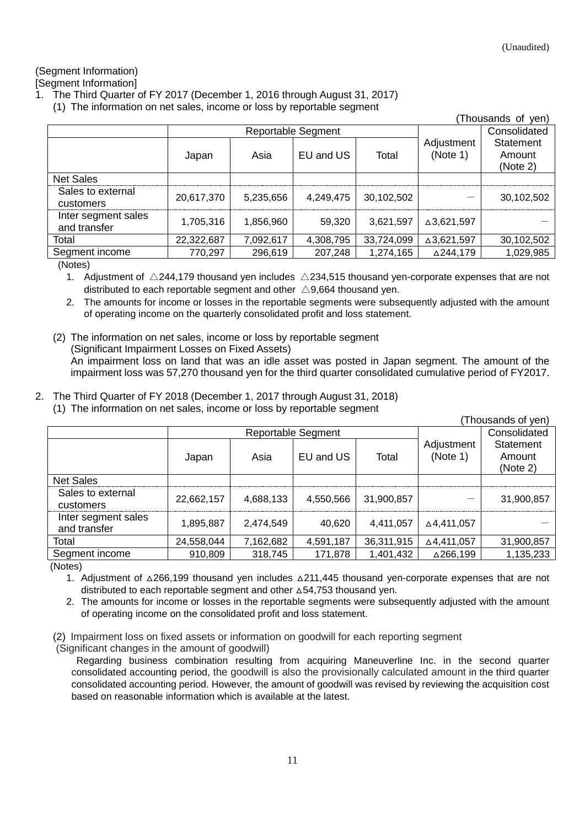## <span id="page-10-0"></span>(Segment Information)

<span id="page-10-1"></span>[Segment Information]

- 1. The Third Quarter of FY 2017 (December 1, 2016 through August 31, 2017)
	- (1) The information on net sales, income or loss by reportable segment

|                                     |            |           |                    |            |                        | (Thousands of yen)              |
|-------------------------------------|------------|-----------|--------------------|------------|------------------------|---------------------------------|
|                                     |            |           | Reportable Segment |            |                        | Consolidated                    |
|                                     | Japan      | Asia      | EU and US          | Total      | Adjustment<br>(Note 1) | Statement<br>Amount<br>(Note 2) |
| <b>Net Sales</b>                    |            |           |                    |            |                        |                                 |
| Sales to external<br>customers      | 20,617,370 | 5,235,656 | 4,249,475          | 30,102,502 |                        | 30,102,502                      |
| Inter segment sales<br>and transfer | 1,705,316  | 1,856,960 | 59,320             | 3,621,597  | △3,621,597             |                                 |
| Total                               | 22,322,687 | 7,092,617 | 4,308,795          | 33,724,099 | △3,621,597             | 30,102,502                      |
| Segment income                      | 770,297    | 296,619   | 207,248            | 1,274,165  | △244,179               | 1,029,985                       |

(Notes)

1. Adjustment of  $\triangle$ 244,179 thousand yen includes  $\triangle$ 234,515 thousand yen-corporate expenses that are not distributed to each reportable segment and other  $\triangle$ 9,664 thousand yen.

2. The amounts for income or losses in the reportable segments were subsequently adjusted with the amount of operating income on the quarterly consolidated profit and loss statement.

- (2) The information on net sales, income or loss by reportable segment (Significant Impairment Losses on Fixed Assets) An impairment loss on land that was an idle asset was posted in Japan segment. The amount of the impairment loss was 57,270 thousand yen for the third quarter consolidated cumulative period of FY2017.
- 2. The Third Quarter of FY 2018 (December 1, 2017 through August 31, 2018) (1) The information on net sales, income or loss by reportable segment

(Thousands of yen)

|                                     | Reportable Segment |           |           |            |                        | Consolidated                    |
|-------------------------------------|--------------------|-----------|-----------|------------|------------------------|---------------------------------|
|                                     | Japan              | Asia      | EU and US | Total      | Adjustment<br>(Note 1) | Statement<br>Amount<br>(Note 2) |
| <b>Net Sales</b>                    |                    |           |           |            |                        |                                 |
| Sales to external<br>customers      | 22,662,157         | 4,688,133 | 4.550.566 | 31,900,857 |                        | 31,900,857                      |
| Inter segment sales<br>and transfer | 1.895.887          | 2,474,549 | 40,620    | 4,411,057  | ∆4.411.057             |                                 |
| Total                               | 24,558,044         | 7,162,682 | 4,591,187 | 36,311,915 | ∆4,411,057             | 31,900,857                      |
| Segment income                      | 910,809            | 318,745   | 171,878   | 1,401,432  | △266,199               | 1,135,233                       |

(Notes)

1. Adjustment of △266,199 thousand yen includes △211,445 thousand yen-corporate expenses that are not distributed to each reportable segment and other △54,753 thousand yen.

2. The amounts for income or losses in the reportable segments were subsequently adjusted with the amount of operating income on the consolidated profit and loss statement.

(2) Impairment loss on fixed assets or information on goodwill for each reporting segment

(Significant changes in the amount of goodwill)

Regarding business combination resulting from acquiring Maneuverline Inc. in the second quarter consolidated accounting period, the goodwill is also the provisionally calculated amount in the third quarter consolidated accounting period. However, the amount of goodwill was revised by reviewing the acquisition cost based on reasonable information which is available at the latest.